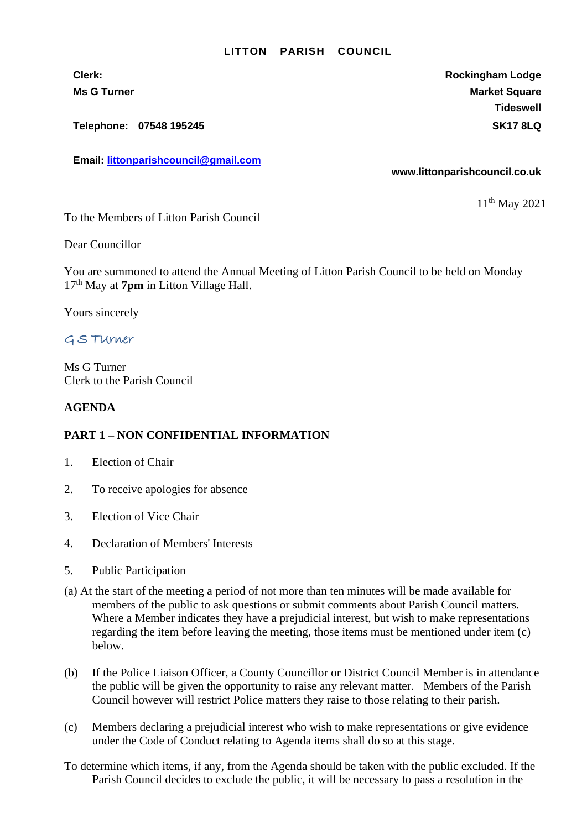#### **LITTON PARISH COUNCIL**

**Telephone: 07548 195245 SK17 8LQ**

**Email: [littonparishcouncil@gmail.com](mailto:littonparishcouncil@gmail.com)**

**Clerk: Rockingham Lodge Ms G Turner Market Square** Market Square Market Square Market Square **Tideswell**

**www.littonparishcouncil.co.uk**

11<sup>th</sup> May 2021

To the Members of Litton Parish Council

Dear Councillor

You are summoned to attend the Annual Meeting of Litton Parish Council to be held on Monday 17th May at **7pm** in Litton Village Hall.

Yours sincerely

### G S TUrner

Ms G Turner Clerk to the Parish Council

### **AGENDA**

### **PART 1 – NON CONFIDENTIAL INFORMATION**

- 1. Election of Chair
- 2. To receive apologies for absence
- 3. Election of Vice Chair
- 4. Declaration of Members' Interests
- 5. Public Participation
- (a) At the start of the meeting a period of not more than ten minutes will be made available for members of the public to ask questions or submit comments about Parish Council matters. Where a Member indicates they have a prejudicial interest, but wish to make representations regarding the item before leaving the meeting, those items must be mentioned under item (c) below.
- (b) If the Police Liaison Officer, a County Councillor or District Council Member is in attendance the public will be given the opportunity to raise any relevant matter. Members of the Parish Council however will restrict Police matters they raise to those relating to their parish.
- (c) Members declaring a prejudicial interest who wish to make representations or give evidence under the Code of Conduct relating to Agenda items shall do so at this stage.
- To determine which items, if any, from the Agenda should be taken with the public excluded. If the Parish Council decides to exclude the public, it will be necessary to pass a resolution in the